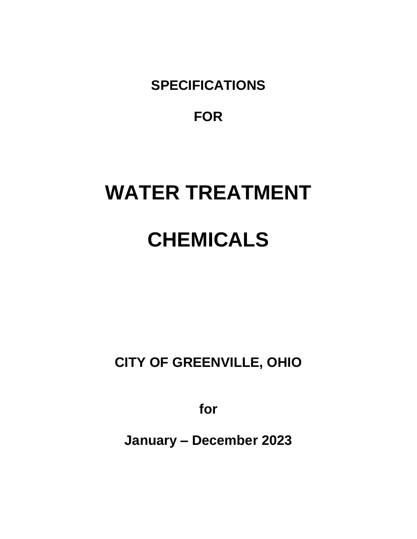**SPECIFICATIONS**

**FOR**

# **WATER TREATMENT CHEMICALS**

# **CITY OF GREENVILLE, OHIO**

**for**

**January – December 2023**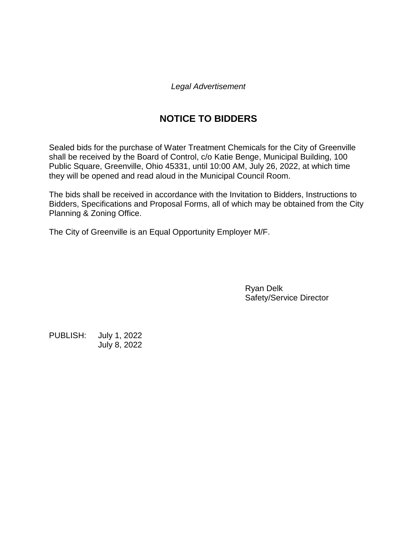*Legal Advertisement*

# **NOTICE TO BIDDERS**

Sealed bids for the purchase of Water Treatment Chemicals for the City of Greenville shall be received by the Board of Control, c/o Katie Benge, Municipal Building, 100 Public Square, Greenville, Ohio 45331, until 10:00 AM, July 26, 2022, at which time they will be opened and read aloud in the Municipal Council Room.

The bids shall be received in accordance with the Invitation to Bidders, Instructions to Bidders, Specifications and Proposal Forms, all of which may be obtained from the City Planning & Zoning Office.

The City of Greenville is an Equal Opportunity Employer M/F.

Ryan Delk Safety/Service Director

PUBLISH: July 1, 2022 July 8, 2022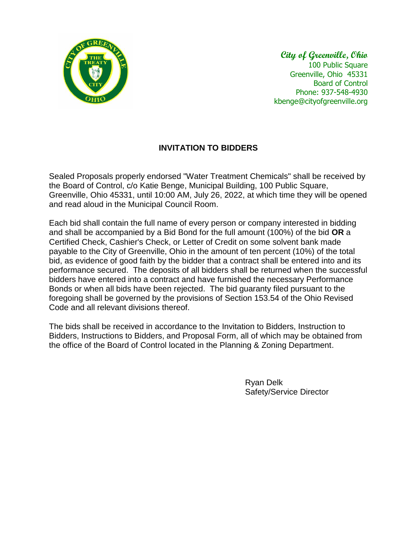

**City of Greenville, Ohio** 100 Public Square Greenville, Ohio 45331 Board of Control Phone: 937-548-4930 kbenge@cityofgreenville.org

# **INVITATION TO BIDDERS**

Sealed Proposals properly endorsed "Water Treatment Chemicals" shall be received by the Board of Control, c/o Katie Benge, Municipal Building, 100 Public Square, Greenville, Ohio 45331, until 10:00 AM, July 26, 2022, at which time they will be opened and read aloud in the Municipal Council Room.

Each bid shall contain the full name of every person or company interested in bidding and shall be accompanied by a Bid Bond for the full amount (100%) of the bid **OR** a Certified Check, Cashier's Check, or Letter of Credit on some solvent bank made payable to the City of Greenville, Ohio in the amount of ten percent (10%) of the total bid, as evidence of good faith by the bidder that a contract shall be entered into and its performance secured. The deposits of all bidders shall be returned when the successful bidders have entered into a contract and have furnished the necessary Performance Bonds or when all bids have been rejected. The bid guaranty filed pursuant to the foregoing shall be governed by the provisions of Section 153.54 of the Ohio Revised Code and all relevant divisions thereof.

The bids shall be received in accordance to the Invitation to Bidders, Instruction to Bidders, Instructions to Bidders, and Proposal Form, all of which may be obtained from the office of the Board of Control located in the Planning & Zoning Department.

> Ryan Delk Safety/Service Director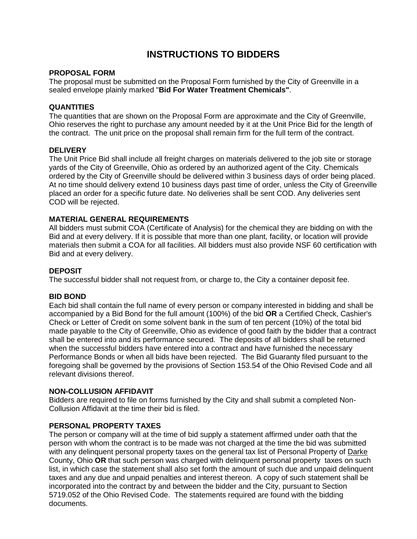# **INSTRUCTIONS TO BIDDERS**

#### **PROPOSAL FORM**

The proposal must be submitted on the Proposal Form furnished by the City of Greenville in a sealed envelope plainly marked "**Bid For Water Treatment Chemicals"**.

#### **QUANTITIES**

The quantities that are shown on the Proposal Form are approximate and the City of Greenville, Ohio reserves the right to purchase any amount needed by it at the Unit Price Bid for the length of the contract. The unit price on the proposal shall remain firm for the full term of the contract.

#### **DELIVERY**

The Unit Price Bid shall include all freight charges on materials delivered to the job site or storage yards of the City of Greenville, Ohio as ordered by an authorized agent of the City. Chemicals ordered by the City of Greenville should be delivered within 3 business days of order being placed. At no time should delivery extend 10 business days past time of order, unless the City of Greenville placed an order for a specific future date. No deliveries shall be sent COD. Any deliveries sent COD will be rejected.

#### **MATERIAL GENERAL REQUIREMENTS**

All bidders must submit COA (Certificate of Analysis) for the chemical they are bidding on with the Bid and at every delivery. If it is possible that more than one plant, facility, or location will provide materials then submit a COA for all facilities. All bidders must also provide NSF 60 certification with Bid and at every delivery.

#### **DEPOSIT**

The successful bidder shall not request from, or charge to, the City a container deposit fee.

#### **BID BOND**

Each bid shall contain the full name of every person or company interested in bidding and shall be accompanied by a Bid Bond for the full amount (100%) of the bid **OR** a Certified Check, Cashier's Check or Letter of Credit on some solvent bank in the sum of ten percent (10%) of the total bid made payable to the City of Greenville, Ohio as evidence of good faith by the bidder that a contract shall be entered into and its performance secured. The deposits of all bidders shall be returned when the successful bidders have entered into a contract and have furnished the necessary Performance Bonds or when all bids have been rejected. The Bid Guaranty filed pursuant to the foregoing shall be governed by the provisions of Section 153.54 of the Ohio Revised Code and all relevant divisions thereof.

#### **NON-COLLUSION AFFIDAVIT**

Bidders are required to file on forms furnished by the City and shall submit a completed Non-Collusion Affidavit at the time their bid is filed.

#### **PERSONAL PROPERTY TAXES**

The person or company will at the time of bid supply a statement affirmed under oath that the person with whom the contract is to be made was not charged at the time the bid was submitted with any delinquent personal property taxes on the general tax list of Personal Property of Darke County, Ohio **OR** that such person was charged with delinquent personal property taxes on such list, in which case the statement shall also set forth the amount of such due and unpaid delinquent taxes and any due and unpaid penalties and interest thereon. A copy of such statement shall be incorporated into the contract by and between the bidder and the City, pursuant to Section 5719.052 of the Ohio Revised Code. The statements required are found with the bidding documents.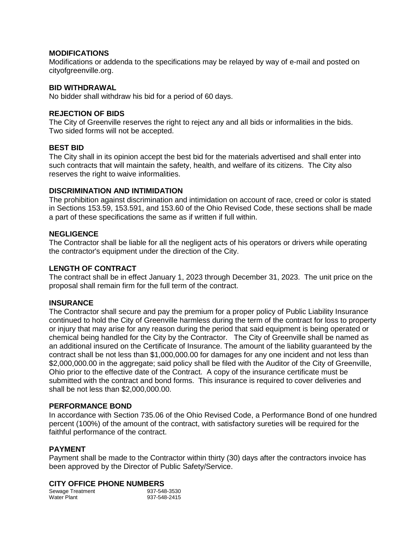#### **MODIFICATIONS**

Modifications or addenda to the specifications may be relayed by way of e-mail and posted on cityofgreenville.org.

#### **BID WITHDRAWAL**

No bidder shall withdraw his bid for a period of 60 days.

#### **REJECTION OF BIDS**

The City of Greenville reserves the right to reject any and all bids or informalities in the bids. Two sided forms will not be accepted.

#### **BEST BID**

The City shall in its opinion accept the best bid for the materials advertised and shall enter into such contracts that will maintain the safety, health, and welfare of its citizens. The City also reserves the right to waive informalities.

#### **DISCRIMINATION AND INTIMIDATION**

The prohibition against discrimination and intimidation on account of race, creed or color is stated in Sections 153.59, 153.591, and 153.60 of the Ohio Revised Code, these sections shall be made a part of these specifications the same as if written if full within.

#### **NEGLIGENCE**

The Contractor shall be liable for all the negligent acts of his operators or drivers while operating the contractor's equipment under the direction of the City.

#### **LENGTH OF CONTRACT**

The contract shall be in effect January 1, 2023 through December 31, 2023. The unit price on the proposal shall remain firm for the full term of the contract.

#### **INSURANCE**

The Contractor shall secure and pay the premium for a proper policy of Public Liability Insurance continued to hold the City of Greenville harmless during the term of the contract for loss to property or injury that may arise for any reason during the period that said equipment is being operated or chemical being handled for the City by the Contractor. The City of Greenville shall be named as an additional insured on the Certificate of Insurance. The amount of the liability guaranteed by the contract shall be not less than \$1,000,000.00 for damages for any one incident and not less than \$2,000,000.00 in the aggregate; said policy shall be filed with the Auditor of the City of Greenville, Ohio prior to the effective date of the Contract. A copy of the insurance certificate must be submitted with the contract and bond forms. This insurance is required to cover deliveries and shall be not less than \$2,000,000.00.

#### **PERFORMANCE BOND**

In accordance with Section 735.06 of the Ohio Revised Code, a Performance Bond of one hundred percent (100%) of the amount of the contract, with satisfactory sureties will be required for the faithful performance of the contract.

#### **PAYMENT**

Payment shall be made to the Contractor within thirty (30) days after the contractors invoice has been approved by the Director of Public Safety/Service.

# **CITY OFFICE PHONE NUMBERS**<br>Sewage Treatment 937-548-3530

Sewage Treatment<br>Water Plant 937-548-2415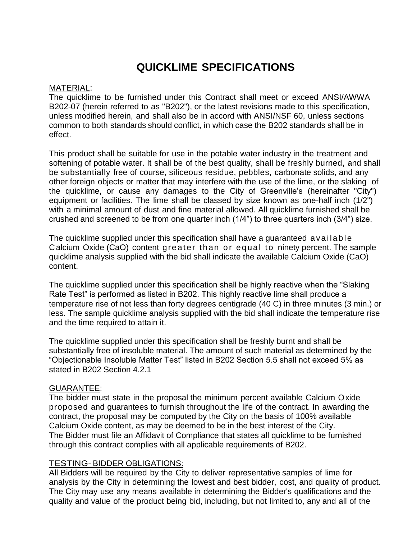# **QUICKLIME SPECIFICATIONS**

## MATERIAL:

The quicklime to be furnished under this Contract shall meet or exceed ANSI/AWWA B202-07 (herein referred to as "B202"), or the latest revisions made to this specification, unless modified herein, and shall also be in accord with ANSI/NSF 60, unless sections common to both standards should conflict, in which case the B202 standards shall be in effect.

This product shall be suitable for use in the potable water industry in the treatment and softening of potable water. It shall be of the best quality, shall be freshly burned, and shall be substantially free of course, siliceous residue, pebbles, carbonate solids, and any other foreign objects or matter that may interfere with the use of the lime, or the slaking of the quicklime, or cause any damages to the City of Greenville's (hereinafter "City") equipment or facilities. The lime shall be classed by size known as one-half inch (1/2") with a minimal amount of dust and fine material allowed. All quicklime furnished shall be crushed and screened to be from one quarter inch (1/4") to three quarters inch (3/4") size.

The quicklime supplied under this specification shall have a guaranteed a va ila b le Calcium Oxide (CaO) content greater than or equal to ninety percent. The sample quicklime analysis supplied with the bid shall indicate the available Calcium Oxide (CaO) content.

The quicklime supplied under this specification shall be highly reactive when the "Slaking Rate Test" is performed as listed in B202. This highly reactive lime shall produce a temperature rise of not less than forty degrees centigrade (40 C) in three minutes (3 min.) or less. The sample quicklime analysis supplied with the bid shall indicate the temperature rise and the time required to attain it.

The quicklime supplied under this specification shall be freshly burnt and shall be substantially free of insoluble material. The amount of such material as determined by the "Objectionable Insoluble Matter Test" listed in B202 Section 5.5 shall not exceed 5% as stated in B202 Section 4.2.1

# GUARANTEE:

The bidder must state in the proposal the minimum percent available Calcium Oxide proposed and guarantees to furnish throughout the life of the contract. In awarding the contract, the proposal may be computed by the City on the basis of 100% available Calcium Oxide content, as may be deemed to be in the best interest of the City. The Bidder must file an Affidavit of Compliance that states all quicklime to be furnished through this contract complies with all applicable requirements of B202.

# TESTING- BIDDER OBLIGATIONS:

All Bidders will be required by the City to deliver representative samples of lime for analysis by the City in determining the lowest and best bidder, cost, and quality of product. The City may use any means available in determining the Bidder's qualifications and the quality and value of the product being bid, including, but not limited to, any and all of the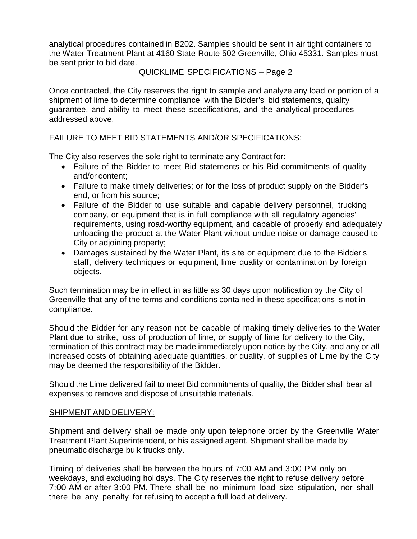analytical procedures contained in B202. Samples should be sent in air tight containers to the Water Treatment Plant at 4160 State Route 502 Greenville, Ohio 45331. Samples must be sent prior to bid date.

QUICKLIME SPECIFICATIONS – Page 2

Once contracted, the City reserves the right to sample and analyze any load or portion of a shipment of lime to determine compliance with the Bidder's bid statements, quality guarantee, and ability to meet these specifications, and the analytical procedures addressed above.

# FAILURE TO MEET BID STATEMENTS AND/OR SPECIFICATIONS:

The City also reserves the sole right to terminate any Contract for:

- Failure of the Bidder to meet Bid statements or his Bid commitments of quality and/or content;
- Failure to make timely deliveries; or for the loss of product supply on the Bidder's end, or from his source;
- Failure of the Bidder to use suitable and capable delivery personnel, trucking company, or equipment that is in full compliance with all regulatory agencies' requirements, using road-worthy equipment, and capable of properly and adequately unloading the product at the Water Plant without undue noise or damage caused to City or adjoining property;
- Damages sustained by the Water Plant, its site or equipment due to the Bidder's staff, delivery techniques or equipment, lime quality or contamination by foreign objects.

Such termination may be in effect in as little as 30 days upon notification by the City of Greenville that any of the terms and conditions contained in these specifications is not in compliance.

Should the Bidder for any reason not be capable of making timely deliveries to the Water Plant due to strike, loss of production of lime, or supply of lime for delivery to the City, termination of this contract may be made immediately upon notice by the City, and any or all increased costs of obtaining adequate quantities, or quality, of supplies of Lime by the City may be deemed the responsibility of the Bidder.

Should the Lime delivered fail to meet Bid commitments of quality, the Bidder shall bear all expenses to remove and dispose of unsuitable materials.

#### SHIPMENT AND DELIVERY:

Shipment and delivery shall be made only upon telephone order by the Greenville Water Treatment Plant Superintendent, or his assigned agent. Shipment shall be made by pneumatic discharge bulk trucks only.

Timing of deliveries shall be between the hours of 7:00 AM and 3:00 PM only on weekdays, and excluding holidays. The City reserves the right to refuse delivery before 7:00 AM or after 3:00 PM. There shall be no minimum load size stipulation, nor shall there be any penalty for refusing to accept a full load at delivery.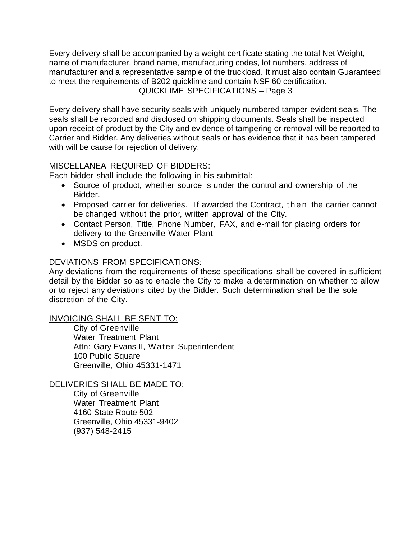Every delivery shall be accompanied by a weight certificate stating the total Net Weight, name of manufacturer, brand name, manufacturing codes, lot numbers, address of manufacturer and a representative sample of the truckload. It must also contain Guaranteed to meet the requirements of B202 quicklime and contain NSF 60 certification. QUICKLIME SPECIFICATIONS – Page 3

Every delivery shall have security seals with uniquely numbered tamper-evident seals. The seals shall be recorded and disclosed on shipping documents. Seals shall be inspected upon receipt of product by the City and evidence of tampering or removal will be reported to Carrier and Bidder. Any deliveries without seals or has evidence that it has been tampered with will be cause for rejection of delivery.

# MISCELLANEA REQUIRED OF BIDDERS:

Each bidder shall include the following in his submittal:

- Source of product, whether source is under the control and ownership of the Bidder.
- Proposed carrier for deliveries. If awarded the Contract, then the carrier cannot be changed without the prior, written approval of the City.
- Contact Person, Title, Phone Number, FAX, and e-mail for placing orders for delivery to the Greenville Water Plant
- MSDS on product.

# DEVIATIONS FROM SPECIFICATIONS:

Any deviations from the requirements of these specifications shall be covered in sufficient detail by the Bidder so as to enable the City to make a determination on whether to allow or to reject any deviations cited by the Bidder. Such determination shall be the sole discretion of the City.

# INVOICING SHALL BE SENT TO:

City of Greenville Water Treatment Plant Attn: Gary Evans II, Water Superintendent 100 Public Square Greenville, Ohio 45331-1471

# DELIVERIES SHALL BE MADE TO:

City of Greenville Water Treatment Plant 4160 State Route 502 Greenville, Ohio 45331-9402 (937) 548-2415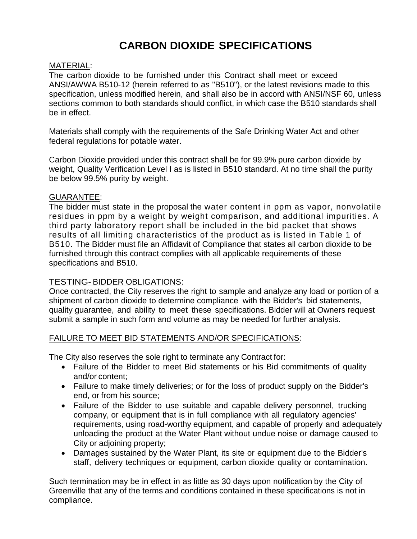# **CARBON DIOXIDE SPECIFICATIONS**

# MATERIAL:

The carbon dioxide to be furnished under this Contract shall meet or exceed ANSI/AWWA B510-12 (herein referred to as "B510"), or the latest revisions made to this specification, unless modified herein, and shall also be in accord with ANSI/NSF 60, unless sections common to both standards should conflict, in which case the B510 standards shall be in effect.

Materials shall comply with the requirements of the Safe Drinking Water Act and other federal regulations for potable water.

Carbon Dioxide provided under this contract shall be for 99.9% pure carbon dioxide by weight, Quality Verification Level I as is listed in B510 standard. At no time shall the purity be below 99.5% purity by weight.

### GUARANTEE:

The bidder must state in the proposal the water content in ppm as vapor, nonvolatile residues in ppm by a weight by weight comparison, and additional impurities. A third party laboratory report shall be included in the bid packet that shows results of all limiting characteristics of the product as is listed in Table 1 of B510. The Bidder must file an Affidavit of Compliance that states all carbon dioxide to be furnished through this contract complies with all applicable requirements of these specifications and B510.

# TESTING- BIDDER OBLIGATIONS:

Once contracted, the City reserves the right to sample and analyze any load or portion of a shipment of carbon dioxide to determine compliance with the Bidder's bid statements, quality guarantee, and ability to meet these specifications. Bidder will at Owners request submit a sample in such form and volume as may be needed for further analysis.

# FAILURE TO MEET BID STATEMENTS AND/OR SPECIFICATIONS:

The City also reserves the sole right to terminate any Contract for:

- Failure of the Bidder to meet Bid statements or his Bid commitments of quality and/or content;
- Failure to make timely deliveries; or for the loss of product supply on the Bidder's end, or from his source;
- Failure of the Bidder to use suitable and capable delivery personnel, trucking company, or equipment that is in full compliance with all regulatory agencies' requirements, using road-worthy equipment, and capable of properly and adequately unloading the product at the Water Plant without undue noise or damage caused to City or adjoining property;
- Damages sustained by the Water Plant, its site or equipment due to the Bidder's staff, delivery techniques or equipment, carbon dioxide quality or contamination.

Such termination may be in effect in as little as 30 days upon notification by the City of Greenville that any of the terms and conditions contained in these specifications is not in compliance.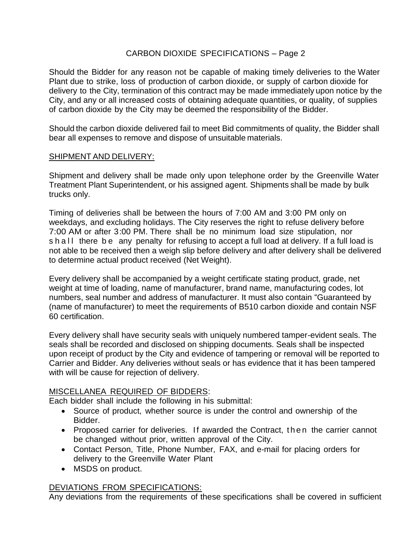# CARBON DIOXIDE SPECIFICATIONS – Page 2

Should the Bidder for any reason not be capable of making timely deliveries to the Water Plant due to strike, loss of production of carbon dioxide, or supply of carbon dioxide for delivery to the City, termination of this contract may be made immediately upon notice by the City, and any or all increased costs of obtaining adequate quantities, or quality, of supplies of carbon dioxide by the City may be deemed the responsibility of the Bidder.

Should the carbon dioxide delivered fail to meet Bid commitments of quality, the Bidder shall bear all expenses to remove and dispose of unsuitable materials.

### SHIPMENT AND DELIVERY:

Shipment and delivery shall be made only upon telephone order by the Greenville Water Treatment Plant Superintendent, or his assigned agent. Shipments shall be made by bulk trucks only.

Timing of deliveries shall be between the hours of 7:00 AM and 3:00 PM only on weekdays, and excluding holidays. The City reserves the right to refuse delivery before 7:00 AM or after 3:00 PM. There shall be no minimum load size stipulation, nor shall there be any penalty for refusing to accept a full load at delivery. If a full load is not able to be received then a weigh slip before delivery and after delivery shall be delivered to determine actual product received (Net Weight).

Every delivery shall be accompanied by a weight certificate stating product, grade, net weight at time of loading, name of manufacturer, brand name, manufacturing codes, lot numbers, seal number and address of manufacturer. It must also contain "Guaranteed by (name of manufacturer) to meet the requirements of B510 carbon dioxide and contain NSF 60 certification.

Every delivery shall have security seals with uniquely numbered tamper-evident seals. The seals shall be recorded and disclosed on shipping documents. Seals shall be inspected upon receipt of product by the City and evidence of tampering or removal will be reported to Carrier and Bidder. Any deliveries without seals or has evidence that it has been tampered with will be cause for rejection of delivery.

# MISCELLANEA REQUIRED OF BIDDERS:

Each bidder shall include the following in his submittal:

- Source of product, whether source is under the control and ownership of the Bidder.
- Proposed carrier for deliveries. If awarded the Contract, then the carrier cannot be changed without prior, written approval of the City.
- Contact Person, Title, Phone Number, FAX, and e-mail for placing orders for delivery to the Greenville Water Plant
- MSDS on product.

# DEVIATIONS FROM SPECIFICATIONS:

Any deviations from the requirements of these specifications shall be covered in sufficient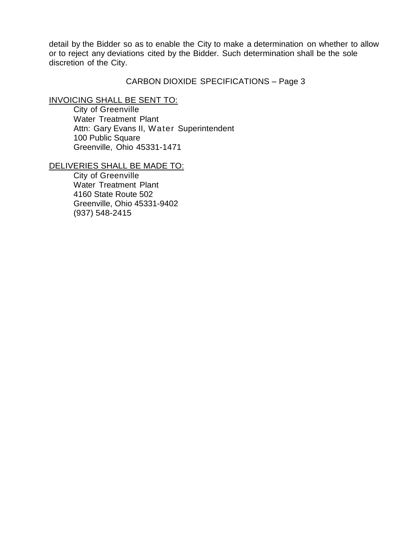detail by the Bidder so as to enable the City to make a determination on whether to allow or to reject any deviations cited by the Bidder. Such determination shall be the sole discretion of the City.

## CARBON DIOXIDE SPECIFICATIONS – Page 3

#### INVOICING SHALL BE SENT TO:

City of Greenville Water Treatment Plant Attn: Gary Evans II, Water Superintendent 100 Public Square Greenville, Ohio 45331-1471

#### DELIVERIES SHALL BE MADE TO:

City of Greenville Water Treatment Plant 4160 State Route 502 Greenville, Ohio 45331-9402 (937) 548-2415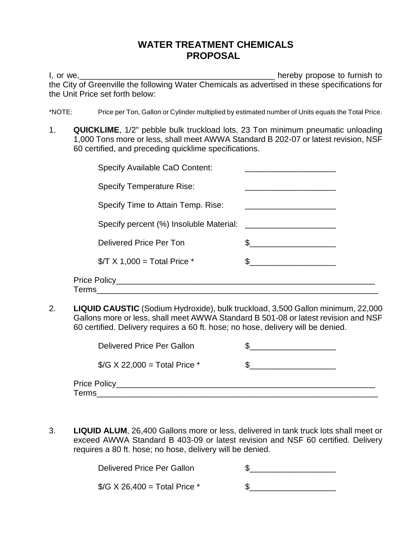# **WATER TREATMENT CHEMICALS PROPOSAL**

I, or we, the City of Greenville the following Water Chemicals as advertised in these specifications for the Unit Price set forth below:

\*NOTE: Price per Ton, Gallon or Cylinder multiplied by estimated number of Units equals the Total Price.

1. **QUICKLIME**, 1/2" pebble bulk truckload lots, 23 Ton minimum pneumatic unloading 1,000 Tons more or less, shall meet AWWA Standard B 202-07 or latest revision, NSF 60 certified, and preceding quicklime specifications.

| Specify Available CaO Content:                               |  |
|--------------------------------------------------------------|--|
| <b>Specify Temperature Rise:</b>                             |  |
| Specify Time to Attain Temp. Rise:                           |  |
| Specify percent (%) Insoluble Material: ____________________ |  |
| Delivered Price Per Ton                                      |  |
| $\sqrt{5}$ T X 1,000 = Total Price *                         |  |
| Price Policy Price 2014<br>Terms                             |  |

2. **LIQUID CAUSTIC** (Sodium Hydroxide), bulk truckload, 3,500 Gallon minimum, 22,000 Gallons more or less, shall meet AWWA Standard B 501-08 or latest revision and NSF 60 certified. Delivery requires a 60 ft. hose; no hose, delivery will be denied.

| Delivered Price Per Gallon          |  |
|-------------------------------------|--|
| $\sqrt{G}$ X 22,000 = Total Price * |  |
| Price Policy_<br>Terms              |  |

3. **LIQUID ALUM**, 26,400 Gallons more or less, delivered in tank truck lots shall meet or exceed AWWA Standard B 403-09 or latest revision and NSF 60 certified. Delivery requires a 80 ft. hose; no hose, delivery will be denied.

> Delivered Price Per Gallon  $\quad \$  $\sqrt[6]{\text{G X 26.400}} = \text{Total Price}$  \*  $\sqrt[6]{\text{S}}$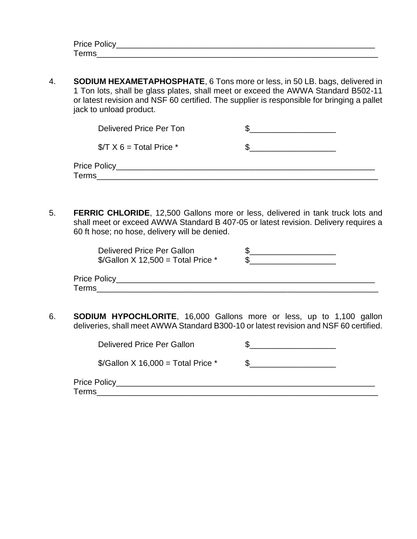| Price Policy |  |  |  |
|--------------|--|--|--|
| <b>Terms</b> |  |  |  |

4. **SODIUM HEXAMETAPHOSPHATE**, 6 Tons more or less, in 50 LB. bags, delivered in 1 Ton lots, shall be glass plates, shall meet or exceed the AWWA Standard B502-11 or latest revision and NSF 60 certified. The supplier is responsible for bringing a pallet jack to unload product.

| Delivered Price Per Ton        |  |
|--------------------------------|--|
| $\sqrt{5}$ X 6 = Total Price * |  |
| Price Policy_<br>Terms         |  |

5. **FERRIC CHLORIDE**, 12,500 Gallons more or less, delivered in tank truck lots and shall meet or exceed AWWA Standard B 407-05 or latest revision. Delivery requires a 60 ft hose; no hose, delivery will be denied.

> Delivered Price Per Gallon \$\_\_\_\_\_\_\_\_\_\_\_\_\_\_\_\_\_\_\_  $\sqrt{$}$ Gallon X 12,500 = Total Price \*

| Price Policy_ |  |  |  |
|---------------|--|--|--|
| Terms         |  |  |  |

6. **SODIUM HYPOCHLORITE**, 16,000 Gallons more or less, up to 1,100 gallon deliveries, shall meet AWWA Standard B300-10 or latest revision and NSF 60 certified.

| Delivered Price Per Gallon                    |  |
|-----------------------------------------------|--|
| $\frac{1}{2}$ Gallon X 16,000 = Total Price * |  |
| Price Policy                                  |  |
| Terms                                         |  |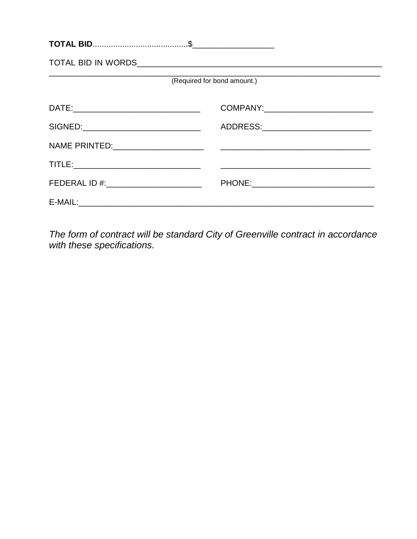| (Required for bond amount.)         |
|-------------------------------------|
|                                     |
| ADDRESS:___________________________ |
|                                     |
|                                     |
|                                     |
|                                     |
|                                     |

The form of contract will be standard City of Greenville contract in accordance with these specifications.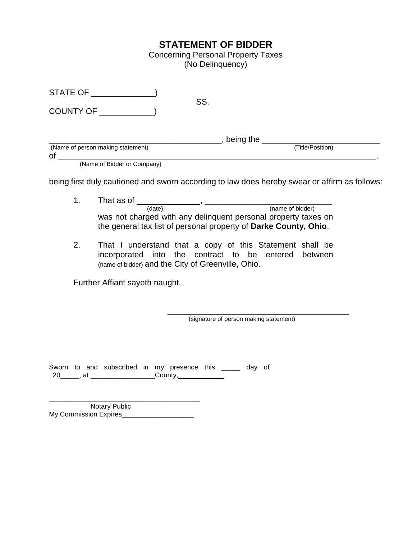# **STATEMENT OF BIDDER**

Concerning Personal Property Taxes (No Delinquency)

| STATE OF                                |     |           |                  |  |
|-----------------------------------------|-----|-----------|------------------|--|
| <b>COUNTY OF</b>                        | SS. |           |                  |  |
|                                         |     | being the |                  |  |
| (Name of person making statement)<br>οf |     |           | (Title/Position) |  |
| (Name of Bidder or Company)             |     |           |                  |  |

being first duly cautioned and sworn according to law does hereby swear or affirm as follows:

| That as of |                                                                  |
|------------|------------------------------------------------------------------|
| (date)     | (name of bidder)                                                 |
|            | was not charged with any delinguent personal property taxes on   |
|            | the general tax list of personal property of Darke County, Ohio. |

2. That I understand that a copy of this Statement shall be incorporated into the contract to be entered between (name of bidder) and the City of Greenville, Ohio.

Further Affiant sayeth naught.

 $\frac{1}{\sqrt{2}}$  , and the set of the set of the set of the set of the set of the set of the set of the set of the set of the set of the set of the set of the set of the set of the set of the set of the set of the set of the (signature of person making statement)

Sworn to and subscribed in my presence this \_\_\_\_\_ day of , 20\_\_\_\_\_, at \_\_\_\_\_\_\_\_\_\_\_\_\_\_\_\_\_\_\_\_\_County, \_\_\_\_\_\_\_\_\_\_\_\_.

\_\_\_\_\_\_\_\_\_\_\_\_\_\_\_\_\_\_\_\_\_\_\_\_\_\_\_\_\_\_\_\_\_\_\_\_\_\_\_\_ Notary Public My Commission Expires\_\_\_\_\_\_\_\_\_\_\_\_\_\_\_\_\_\_\_\_\_\_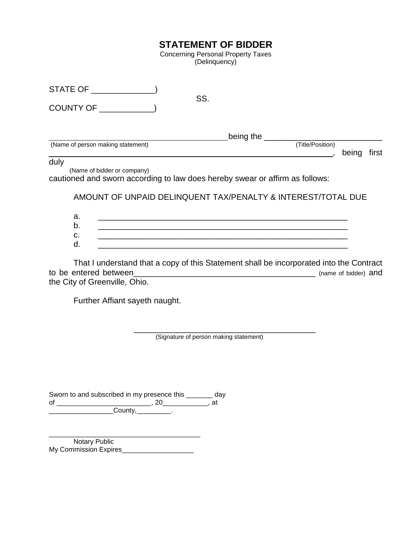# **STATEMENT OF BIDDER**

Concerning Personal Property Taxes (Delinquency)

| STATE OF                                                                                                            |                                                              |
|---------------------------------------------------------------------------------------------------------------------|--------------------------------------------------------------|
| COUNTY OF                                                                                                           | SS.                                                          |
|                                                                                                                     | being the                                                    |
| (Name of person making statement)                                                                                   | (Title/Position)<br>first<br>being                           |
| duly<br>(Name of bidder or company)<br>cautioned and sworn according to law does hereby swear or affirm as follows: |                                                              |
|                                                                                                                     | AMOUNT OF UNPAID DELINQUENT TAX/PENALTY & INTEREST/TOTAL DUE |
| a.                                                                                                                  |                                                              |
| b.                                                                                                                  |                                                              |
| c.                                                                                                                  |                                                              |
| d.                                                                                                                  |                                                              |

That I understand that a copy of this Statement shall be incorporated into the Contract to be entered between\_\_\_\_\_\_\_\_\_\_\_\_\_\_\_\_\_\_\_\_\_\_\_\_\_\_\_\_\_\_\_\_\_\_\_\_\_\_\_\_ (name of bidder) and the City of Greenville, Ohio.

Further Affiant sayeth naught.

(Signature of person making statement)

 $\overline{\phantom{a}}$  , and the set of the set of the set of the set of the set of the set of the set of the set of the set of the set of the set of the set of the set of the set of the set of the set of the set of the set of the s

Sworn to and subscribed in my presence this \_\_\_\_\_\_\_ day of \_\_\_\_\_\_\_\_\_\_\_\_\_\_\_\_\_\_\_\_\_\_\_\_\_, 20\_\_\_\_\_\_\_\_\_\_\_\_, at \_\_\_\_\_\_\_\_\_\_\_\_\_\_\_\_\_\_\_\_\_County,\_\_\_\_\_\_\_\_\_\_.

\_\_\_\_\_\_\_\_\_\_\_\_\_\_\_\_\_\_\_\_\_\_\_\_\_\_\_\_\_\_\_\_\_\_\_\_\_\_\_\_ Notary Public My Commission Expires\_\_\_\_\_\_\_\_\_\_\_\_\_\_\_\_\_\_\_\_\_\_